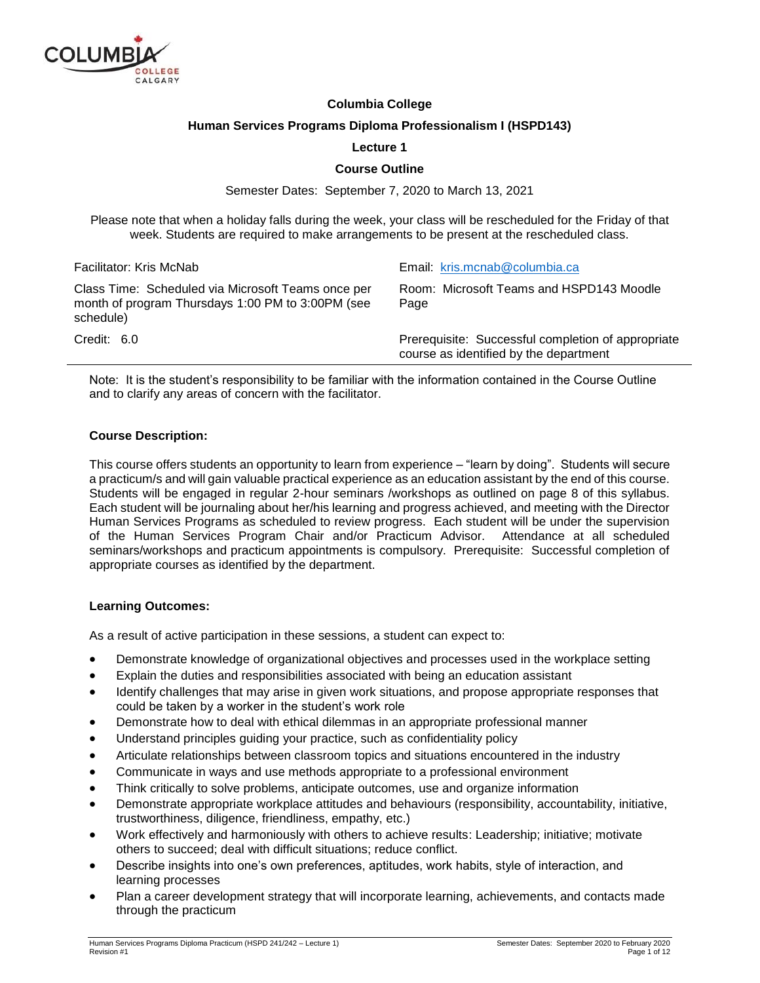

#### **Columbia College**

#### **Human Services Programs Diploma Professionalism I (HSPD143)**

#### **Lecture 1**

#### **Course Outline**

Semester Dates: September 7, 2020 to March 13, 2021

Please note that when a holiday falls during the week, your class will be rescheduled for the Friday of that week. Students are required to make arrangements to be present at the rescheduled class.

| Facilitator: Kris McNab                                                                                              | Email: kris.mcnab@columbia.ca                                                                |
|----------------------------------------------------------------------------------------------------------------------|----------------------------------------------------------------------------------------------|
| Class Time: Scheduled via Microsoft Teams once per<br>month of program Thursdays 1:00 PM to 3:00PM (see<br>schedule) | Room: Microsoft Teams and HSPD143 Moodle<br>Page                                             |
| Credit: 6.0                                                                                                          | Prerequisite: Successful completion of appropriate<br>course as identified by the department |

Note: It is the student's responsibility to be familiar with the information contained in the Course Outline and to clarify any areas of concern with the facilitator.

#### **Course Description:**

This course offers students an opportunity to learn from experience – "learn by doing". Students will secure a practicum/s and will gain valuable practical experience as an education assistant by the end of this course. Students will be engaged in regular 2-hour seminars /workshops as outlined on page 8 of this syllabus. Each student will be journaling about her/his learning and progress achieved, and meeting with the Director Human Services Programs as scheduled to review progress. Each student will be under the supervision of the Human Services Program Chair and/or Practicum Advisor. Attendance at all scheduled seminars/workshops and practicum appointments is compulsory. Prerequisite: Successful completion of appropriate courses as identified by the department.

#### **Learning Outcomes:**

As a result of active participation in these sessions, a student can expect to:

- Demonstrate knowledge of organizational objectives and processes used in the workplace setting
- Explain the duties and responsibilities associated with being an education assistant
- Identify challenges that may arise in given work situations, and propose appropriate responses that could be taken by a worker in the student's work role
- Demonstrate how to deal with ethical dilemmas in an appropriate professional manner
- Understand principles guiding your practice, such as confidentiality policy
- Articulate relationships between classroom topics and situations encountered in the industry
- Communicate in ways and use methods appropriate to a professional environment
- Think critically to solve problems, anticipate outcomes, use and organize information
- Demonstrate appropriate workplace attitudes and behaviours (responsibility, accountability, initiative, trustworthiness, diligence, friendliness, empathy, etc.)
- Work effectively and harmoniously with others to achieve results: Leadership; initiative; motivate others to succeed; deal with difficult situations; reduce conflict.
- Describe insights into one's own preferences, aptitudes, work habits, style of interaction, and learning processes
- Plan a career development strategy that will incorporate learning, achievements, and contacts made through the practicum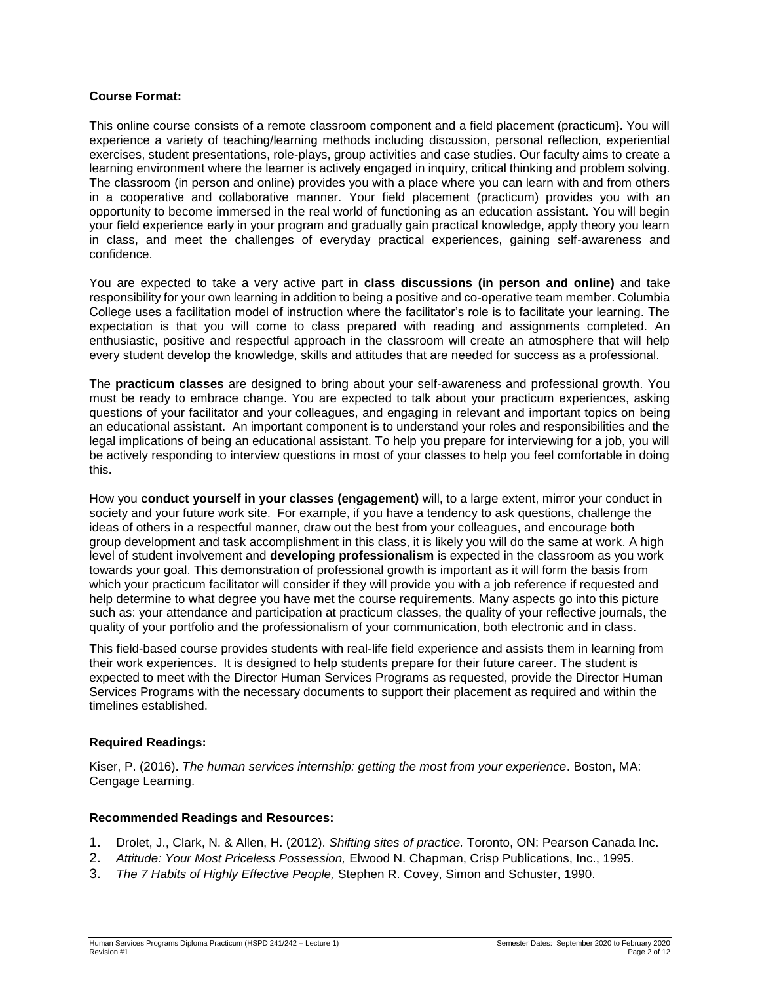#### **Course Format:**

This online course consists of a remote classroom component and a field placement (practicum}. You will experience a variety of teaching/learning methods including discussion, personal reflection, experiential exercises, student presentations, role-plays, group activities and case studies. Our faculty aims to create a learning environment where the learner is actively engaged in inquiry, critical thinking and problem solving. The classroom (in person and online) provides you with a place where you can learn with and from others in a cooperative and collaborative manner. Your field placement (practicum) provides you with an opportunity to become immersed in the real world of functioning as an education assistant. You will begin your field experience early in your program and gradually gain practical knowledge, apply theory you learn in class, and meet the challenges of everyday practical experiences, gaining self-awareness and confidence.

You are expected to take a very active part in **class discussions (in person and online)** and take responsibility for your own learning in addition to being a positive and co-operative team member. Columbia College uses a facilitation model of instruction where the facilitator's role is to facilitate your learning. The expectation is that you will come to class prepared with reading and assignments completed. An enthusiastic, positive and respectful approach in the classroom will create an atmosphere that will help every student develop the knowledge, skills and attitudes that are needed for success as a professional.

The **practicum classes** are designed to bring about your self-awareness and professional growth. You must be ready to embrace change. You are expected to talk about your practicum experiences, asking questions of your facilitator and your colleagues, and engaging in relevant and important topics on being an educational assistant. An important component is to understand your roles and responsibilities and the legal implications of being an educational assistant. To help you prepare for interviewing for a job, you will be actively responding to interview questions in most of your classes to help you feel comfortable in doing this.

How you **conduct yourself in your classes (engagement)** will, to a large extent, mirror your conduct in society and your future work site. For example, if you have a tendency to ask questions, challenge the ideas of others in a respectful manner, draw out the best from your colleagues, and encourage both group development and task accomplishment in this class, it is likely you will do the same at work. A high level of student involvement and **developing professionalism** is expected in the classroom as you work towards your goal. This demonstration of professional growth is important as it will form the basis from which your practicum facilitator will consider if they will provide you with a job reference if requested and help determine to what degree you have met the course requirements. Many aspects go into this picture such as: your attendance and participation at practicum classes, the quality of your reflective journals, the quality of your portfolio and the professionalism of your communication, both electronic and in class.

This field-based course provides students with real-life field experience and assists them in learning from their work experiences. It is designed to help students prepare for their future career. The student is expected to meet with the Director Human Services Programs as requested, provide the Director Human Services Programs with the necessary documents to support their placement as required and within the timelines established.

### **Required Readings:**

Kiser, P. (2016). *The human services internship: getting the most from your experience*. Boston, MA: Cengage Learning.

#### **Recommended Readings and Resources:**

- 1. Drolet, J., Clark, N. & Allen, H. (2012). *Shifting sites of practice.* Toronto, ON: Pearson Canada Inc.
- 2. *Attitude: Your Most Priceless Possession,* Elwood N. Chapman, Crisp Publications, Inc., 1995.
- 3. *The 7 Habits of Highly Effective People,* Stephen R. Covey, Simon and Schuster, 1990.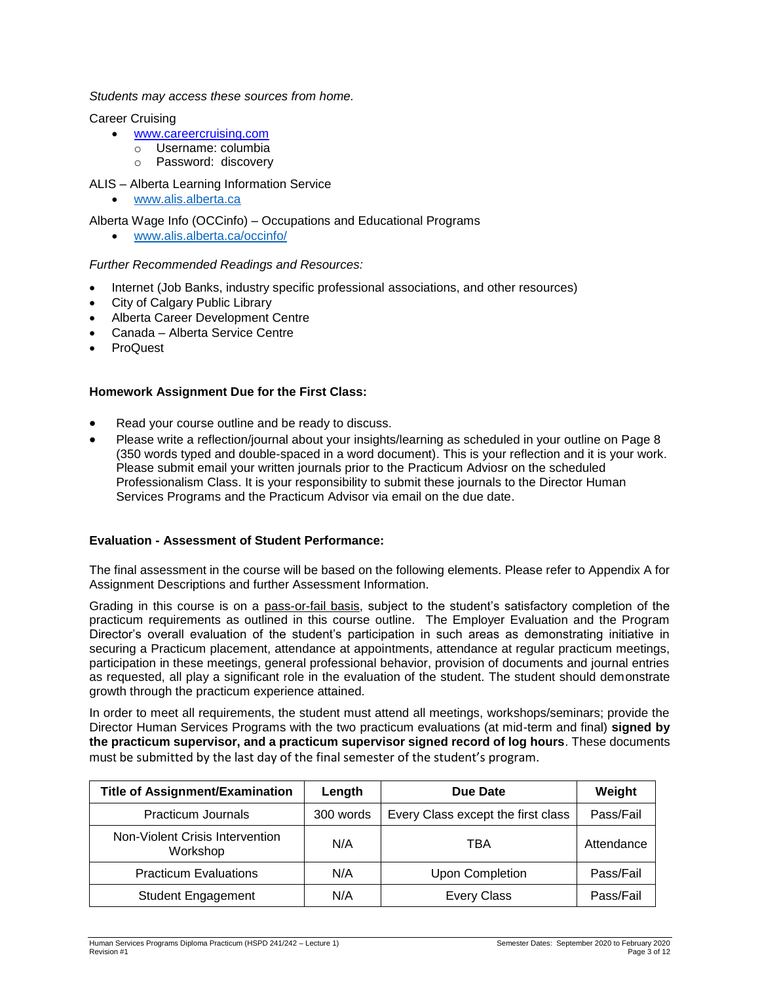*Students may access these sources from home.*

#### Career Cruising

- [www.careercruising.com](http://proquest.umi.com/login)
	- o Username: columbia
	- o Password: discovery
- ALIS Alberta Learning Information Service
	- [www.alis.alberta.ca](http://www.alis.alberta.ca/)

Alberta Wage Info (OCCinfo) – Occupations and Educational Programs

[www.alis.alberta.ca/occinfo/](http://www.alis.alberta.ca/occinfo/)

### *Further Recommended Readings and Resources:*

- Internet (Job Banks, industry specific professional associations, and other resources)
- City of Calgary Public Library
- Alberta Career Development Centre
- Canada Alberta Service Centre
- **ProQuest**

### **Homework Assignment Due for the First Class:**

- Read your course outline and be ready to discuss.
- Please write a reflection/journal about your insights/learning as scheduled in your outline on Page 8 (350 words typed and double-spaced in a word document). This is your reflection and it is your work. Please submit email your written journals prior to the Practicum Adviosr on the scheduled Professionalism Class. It is your responsibility to submit these journals to the Director Human Services Programs and the Practicum Advisor via email on the due date.

### **Evaluation - Assessment of Student Performance:**

The final assessment in the course will be based on the following elements. Please refer to Appendix A for Assignment Descriptions and further Assessment Information.

Grading in this course is on a pass-or-fail basis, subject to the student's satisfactory completion of the practicum requirements as outlined in this course outline. The Employer Evaluation and the Program Director's overall evaluation of the student's participation in such areas as demonstrating initiative in securing a Practicum placement, attendance at appointments, attendance at regular practicum meetings, participation in these meetings, general professional behavior, provision of documents and journal entries as requested, all play a significant role in the evaluation of the student. The student should demonstrate growth through the practicum experience attained.

In order to meet all requirements, the student must attend all meetings, workshops/seminars; provide the Director Human Services Programs with the two practicum evaluations (at mid-term and final) **signed by the practicum supervisor, and a practicum supervisor signed record of log hours**. These documents must be submitted by the last day of the final semester of the student's program.

| <b>Title of Assignment/Examination</b>      | Length    | Due Date                           | Weight     |
|---------------------------------------------|-----------|------------------------------------|------------|
| <b>Practicum Journals</b>                   | 300 words | Every Class except the first class | Pass/Fail  |
| Non-Violent Crisis Intervention<br>Workshop | N/A       | TBA                                | Attendance |
| <b>Practicum Evaluations</b>                | N/A       | <b>Upon Completion</b>             | Pass/Fail  |
| <b>Student Engagement</b>                   | N/A       | <b>Every Class</b>                 | Pass/Fail  |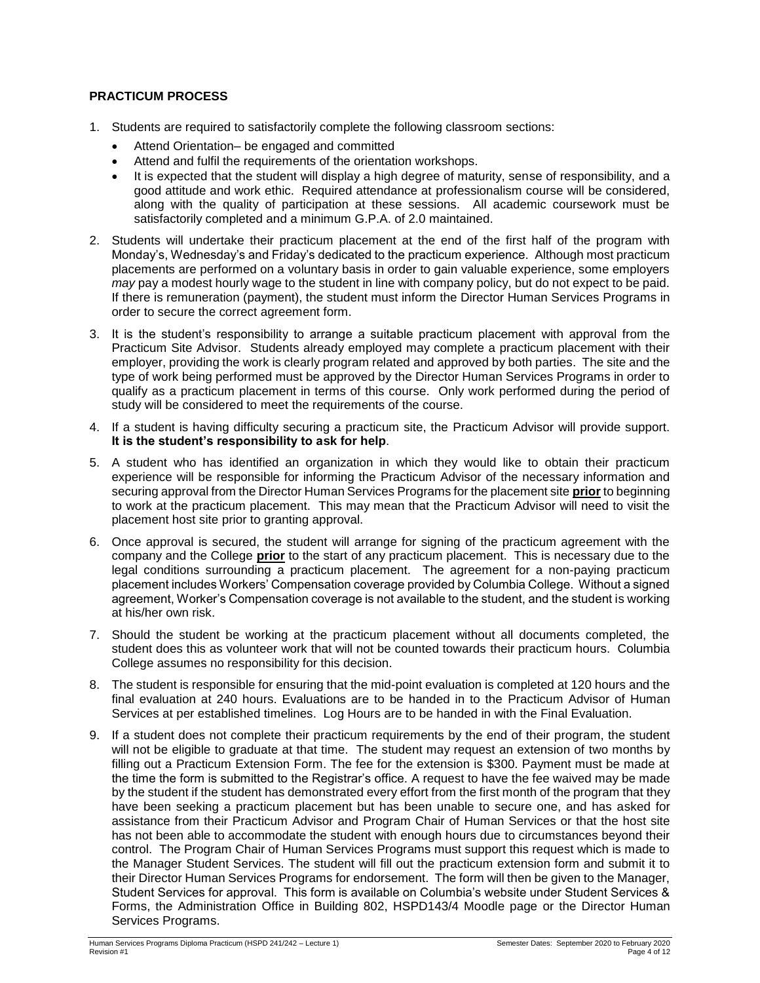### **PRACTICUM PROCESS**

- 1. Students are required to satisfactorily complete the following classroom sections:
	- Attend Orientation– be engaged and committed
	- Attend and fulfil the requirements of the orientation workshops.
	- It is expected that the student will display a high degree of maturity, sense of responsibility, and a good attitude and work ethic. Required attendance at professionalism course will be considered, along with the quality of participation at these sessions. All academic coursework must be satisfactorily completed and a minimum G.P.A. of 2.0 maintained.
- 2. Students will undertake their practicum placement at the end of the first half of the program with Monday's, Wednesday's and Friday's dedicated to the practicum experience. Although most practicum placements are performed on a voluntary basis in order to gain valuable experience, some employers *may* pay a modest hourly wage to the student in line with company policy, but do not expect to be paid. If there is remuneration (payment), the student must inform the Director Human Services Programs in order to secure the correct agreement form.
- 3. It is the student's responsibility to arrange a suitable practicum placement with approval from the Practicum Site Advisor. Students already employed may complete a practicum placement with their employer, providing the work is clearly program related and approved by both parties. The site and the type of work being performed must be approved by the Director Human Services Programs in order to qualify as a practicum placement in terms of this course. Only work performed during the period of study will be considered to meet the requirements of the course.
- 4. If a student is having difficulty securing a practicum site, the Practicum Advisor will provide support. **It is the student's responsibility to ask for help**.
- 5. A student who has identified an organization in which they would like to obtain their practicum experience will be responsible for informing the Practicum Advisor of the necessary information and securing approval from the Director Human Services Programs for the placement site **prior** to beginning to work at the practicum placement. This may mean that the Practicum Advisor will need to visit the placement host site prior to granting approval.
- 6. Once approval is secured, the student will arrange for signing of the practicum agreement with the company and the College **prior** to the start of any practicum placement. This is necessary due to the legal conditions surrounding a practicum placement. The agreement for a non-paying practicum placement includes Workers' Compensation coverage provided by Columbia College. Without a signed agreement, Worker's Compensation coverage is not available to the student, and the student is working at his/her own risk.
- 7. Should the student be working at the practicum placement without all documents completed, the student does this as volunteer work that will not be counted towards their practicum hours. Columbia College assumes no responsibility for this decision.
- 8. The student is responsible for ensuring that the mid-point evaluation is completed at 120 hours and the final evaluation at 240 hours. Evaluations are to be handed in to the Practicum Advisor of Human Services at per established timelines. Log Hours are to be handed in with the Final Evaluation.
- 9. If a student does not complete their practicum requirements by the end of their program, the student will not be eligible to graduate at that time. The student may request an extension of two months by filling out a Practicum Extension Form. The fee for the extension is \$300. Payment must be made at the time the form is submitted to the Registrar's office. A request to have the fee waived may be made by the student if the student has demonstrated every effort from the first month of the program that they have been seeking a practicum placement but has been unable to secure one, and has asked for assistance from their Practicum Advisor and Program Chair of Human Services or that the host site has not been able to accommodate the student with enough hours due to circumstances beyond their control. The Program Chair of Human Services Programs must support this request which is made to the Manager Student Services. The student will fill out the practicum extension form and submit it to their Director Human Services Programs for endorsement. The form will then be given to the Manager, Student Services for approval. This form is available on Columbia's website under Student Services & Forms, the Administration Office in Building 802, HSPD143/4 Moodle page or the Director Human Services Programs.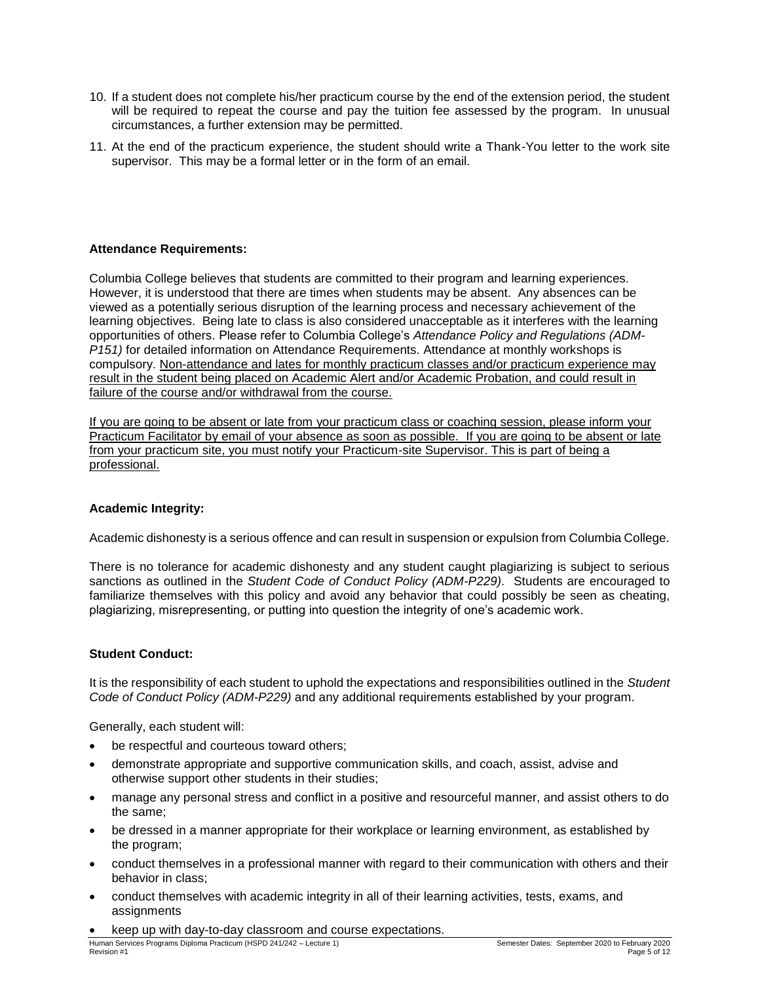- 10. If a student does not complete his/her practicum course by the end of the extension period, the student will be required to repeat the course and pay the tuition fee assessed by the program. In unusual circumstances, a further extension may be permitted.
- 11. At the end of the practicum experience, the student should write a Thank-You letter to the work site supervisor. This may be a formal letter or in the form of an email.

### **Attendance Requirements:**

Columbia College believes that students are committed to their program and learning experiences. However, it is understood that there are times when students may be absent. Any absences can be viewed as a potentially serious disruption of the learning process and necessary achievement of the learning objectives. Being late to class is also considered unacceptable as it interferes with the learning opportunities of others. Please refer to Columbia College's *Attendance Policy and Regulations (ADM-P151)* for detailed information on Attendance Requirements. Attendance at monthly workshops is compulsory. Non-attendance and lates for monthly practicum classes and/or practicum experience may result in the student being placed on Academic Alert and/or Academic Probation, and could result in failure of the course and/or withdrawal from the course.

If you are going to be absent or late from your practicum class or coaching session, please inform your Practicum Facilitator by email of your absence as soon as possible. If you are going to be absent or late from your practicum site, you must notify your Practicum-site Supervisor. This is part of being a professional.

### **Academic Integrity:**

Academic dishonesty is a serious offence and can result in suspension or expulsion from Columbia College.

There is no tolerance for academic dishonesty and any student caught plagiarizing is subject to serious sanctions as outlined in the *Student Code of Conduct Policy (ADM-P229)*. Students are encouraged to familiarize themselves with this policy and avoid any behavior that could possibly be seen as cheating, plagiarizing, misrepresenting, or putting into question the integrity of one's academic work.

### **Student Conduct:**

It is the responsibility of each student to uphold the expectations and responsibilities outlined in the *Student Code of Conduct Policy (ADM-P229)* and any additional requirements established by your program.

Generally, each student will:

- be respectful and courteous toward others;
- demonstrate appropriate and supportive communication skills, and coach, assist, advise and otherwise support other students in their studies;
- manage any personal stress and conflict in a positive and resourceful manner, and assist others to do the same;
- be dressed in a manner appropriate for their workplace or learning environment, as established by the program;
- conduct themselves in a professional manner with regard to their communication with others and their behavior in class;
- conduct themselves with academic integrity in all of their learning activities, tests, exams, and **assignments**
- keep up with day-to-day classroom and course expectations.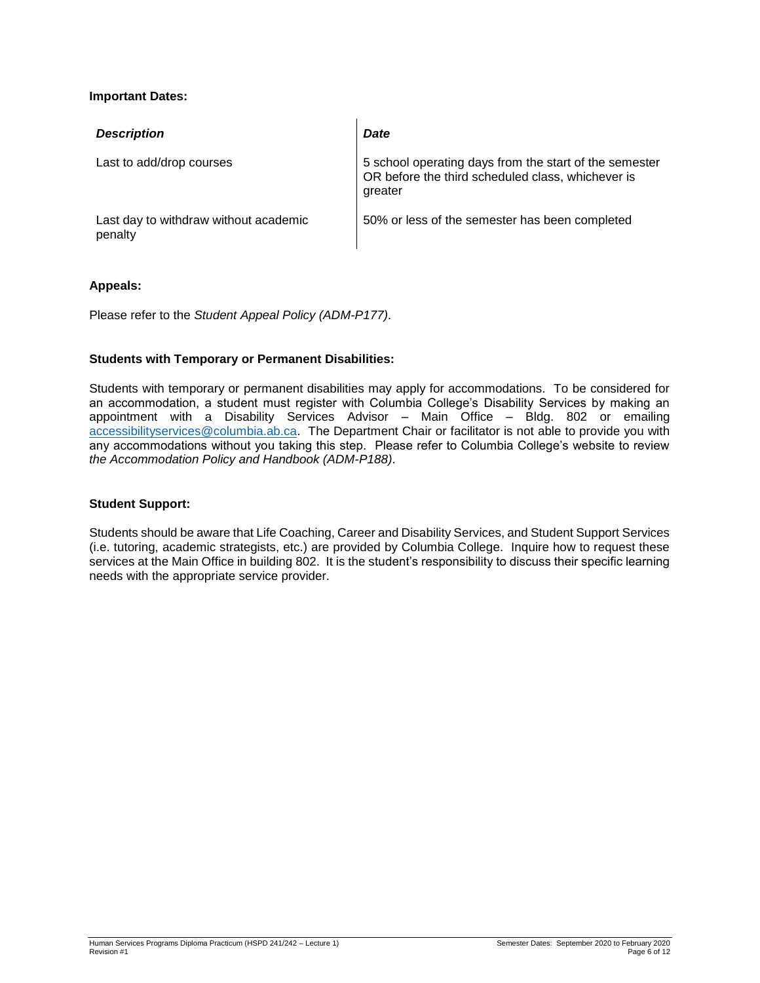### **Important Dates:**

| <b>Description</b>                               | <b>Date</b>                                                                                                            |
|--------------------------------------------------|------------------------------------------------------------------------------------------------------------------------|
| Last to add/drop courses                         | 5 school operating days from the start of the semester<br>OR before the third scheduled class, whichever is<br>greater |
| Last day to withdraw without academic<br>penalty | 50% or less of the semester has been completed                                                                         |

#### **Appeals:**

Please refer to the *Student Appeal Policy (ADM-P177)*.

### **Students with Temporary or Permanent Disabilities:**

Students with temporary or permanent disabilities may apply for accommodations. To be considered for an accommodation, a student must register with Columbia College's Disability Services by making an appointment with a Disability Services Advisor – Main Office – Bldg. 802 or emailing [accessibilityservices@columbia.ab.ca.](mailto:accessibilityservices@columbia.ab.ca) The Department Chair or facilitator is not able to provide you with any accommodations without you taking this step. Please refer to Columbia College's website to review *the Accommodation Policy and Handbook (ADM-P188)*.

#### **Student Support:**

Students should be aware that Life Coaching, Career and Disability Services, and Student Support Services (i.e. tutoring, academic strategists, etc.) are provided by Columbia College. Inquire how to request these services at the Main Office in building 802. It is the student's responsibility to discuss their specific learning needs with the appropriate service provider.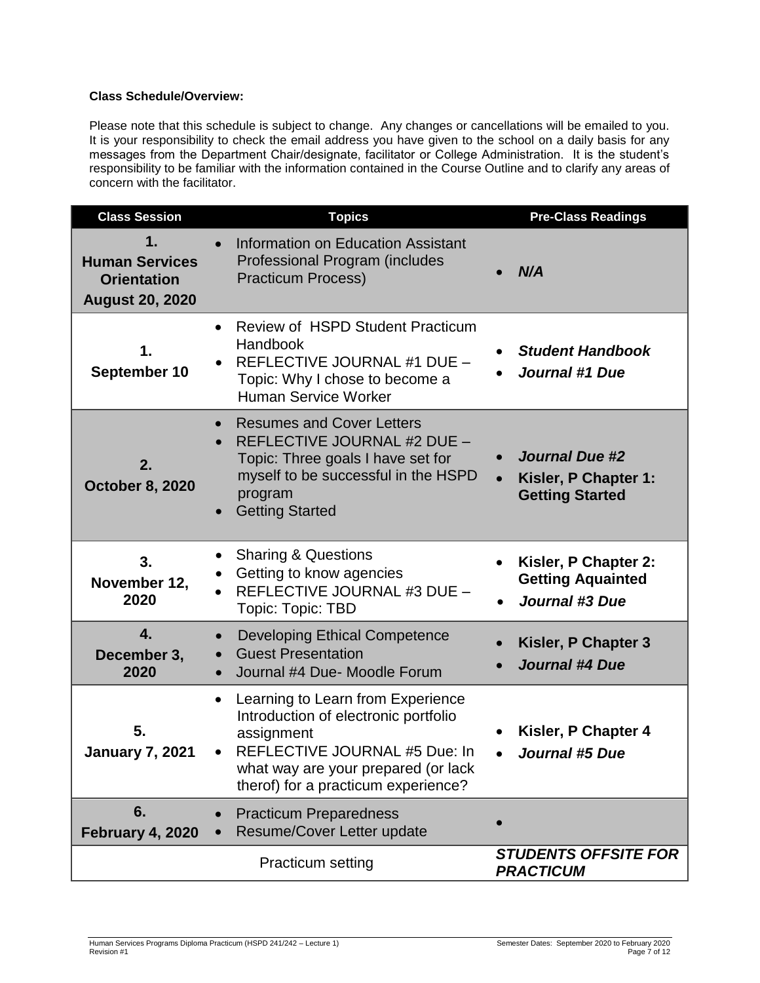### **Class Schedule/Overview:**

Please note that this schedule is subject to change. Any changes or cancellations will be emailed to you. It is your responsibility to check the email address you have given to the school on a daily basis for any messages from the Department Chair/designate, facilitator or College Administration. It is the student's responsibility to be familiar with the information contained in the Course Outline and to clarify any areas of concern with the facilitator.

| <b>Class Session</b>                                                        | <b>Topics</b>                                                                                                                                                                                                       | <b>Pre-Class Readings</b>                                                 |
|-----------------------------------------------------------------------------|---------------------------------------------------------------------------------------------------------------------------------------------------------------------------------------------------------------------|---------------------------------------------------------------------------|
| 1.<br><b>Human Services</b><br><b>Orientation</b><br><b>August 20, 2020</b> | <b>Information on Education Assistant</b><br>Professional Program (includes<br><b>Practicum Process)</b>                                                                                                            | N/A                                                                       |
| 1.<br>September 10                                                          | <b>Review of HSPD Student Practicum</b><br>$\bullet$<br>Handbook<br>REFLECTIVE JOURNAL #1 DUE -<br>Topic: Why I chose to become a<br><b>Human Service Worker</b>                                                    | <b>Student Handbook</b><br><b>Journal #1 Due</b>                          |
| 2.<br><b>October 8, 2020</b>                                                | <b>Resumes and Cover Letters</b><br>$\bullet$<br>REFLECTIVE JOURNAL #2 DUE -<br>Topic: Three goals I have set for<br>myself to be successful in the HSPD<br>program<br><b>Getting Started</b>                       | <b>Journal Due #2</b><br>Kisler, P Chapter 1:<br><b>Getting Started</b>   |
| 3.<br>November 12,<br>2020                                                  | <b>Sharing &amp; Questions</b><br>Getting to know agencies<br>REFLECTIVE JOURNAL #3 DUE -<br>Topic: Topic: TBD                                                                                                      | Kisler, P Chapter 2:<br><b>Getting Aquainted</b><br><b>Journal #3 Due</b> |
| $\overline{4}$ .<br>December 3,<br>2020                                     | <b>Developing Ethical Competence</b><br>$\bullet$<br><b>Guest Presentation</b><br>$\bullet$<br>Journal #4 Due- Moodle Forum                                                                                         | Kisler, P Chapter 3<br><b>Journal #4 Due</b>                              |
| 5.<br><b>January 7, 2021</b>                                                | Learning to Learn from Experience<br>$\bullet$<br>Introduction of electronic portfolio<br>assignment<br>REFLECTIVE JOURNAL #5 Due: In<br>what way are your prepared (or lack<br>therof) for a practicum experience? | Kisler, P Chapter 4<br><b>Journal #5 Due</b>                              |
| 6.<br><b>February 4, 2020</b>                                               | <b>Practicum Preparedness</b><br>Resume/Cover Letter update                                                                                                                                                         |                                                                           |
|                                                                             | <b>Practicum setting</b>                                                                                                                                                                                            | <b>STUDENTS OFFSITE FOR</b><br><b>PRACTICUM</b>                           |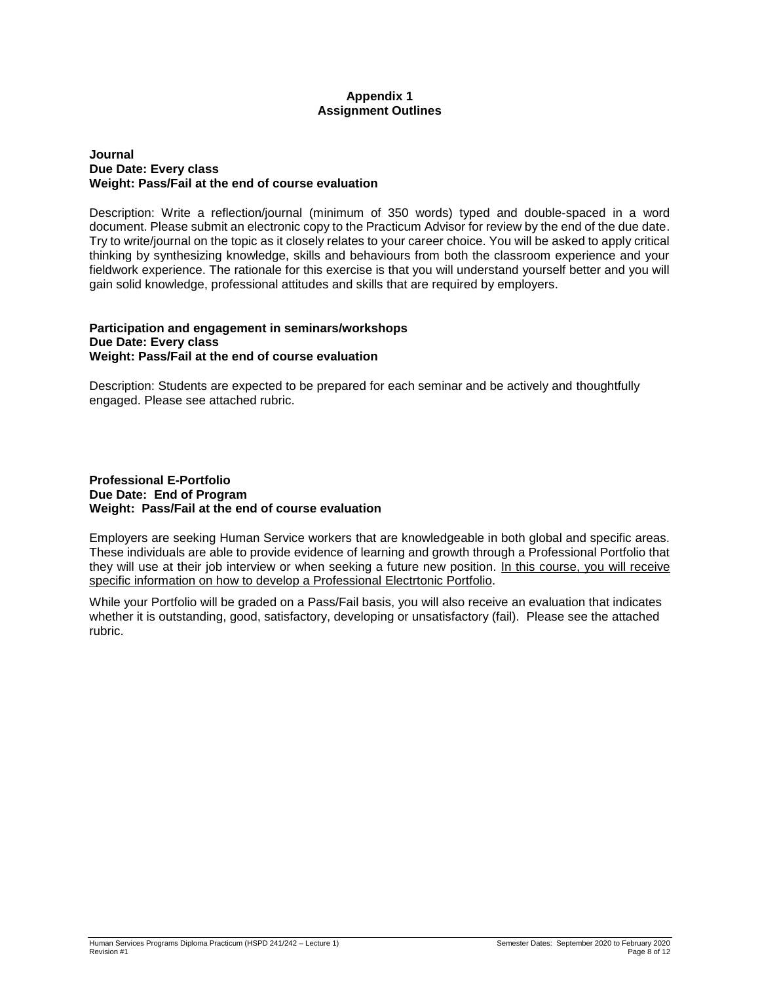#### **Appendix 1 Assignment Outlines**

#### **Journal Due Date: Every class Weight: Pass/Fail at the end of course evaluation**

Description: Write a reflection/journal (minimum of 350 words) typed and double-spaced in a word document. Please submit an electronic copy to the Practicum Advisor for review by the end of the due date. Try to write/journal on the topic as it closely relates to your career choice. You will be asked to apply critical thinking by synthesizing knowledge, skills and behaviours from both the classroom experience and your fieldwork experience. The rationale for this exercise is that you will understand yourself better and you will gain solid knowledge, professional attitudes and skills that are required by employers.

#### **Participation and engagement in seminars/workshops Due Date: Every class Weight: Pass/Fail at the end of course evaluation**

Description: Students are expected to be prepared for each seminar and be actively and thoughtfully engaged. Please see attached rubric.

#### **Professional E-Portfolio Due Date: End of Program Weight: Pass/Fail at the end of course evaluation**

Employers are seeking Human Service workers that are knowledgeable in both global and specific areas. These individuals are able to provide evidence of learning and growth through a Professional Portfolio that they will use at their job interview or when seeking a future new position. In this course, you will receive specific information on how to develop a Professional Electrtonic Portfolio.

While your Portfolio will be graded on a Pass/Fail basis, you will also receive an evaluation that indicates whether it is outstanding, good, satisfactory, developing or unsatisfactory (fail). Please see the attached rubric.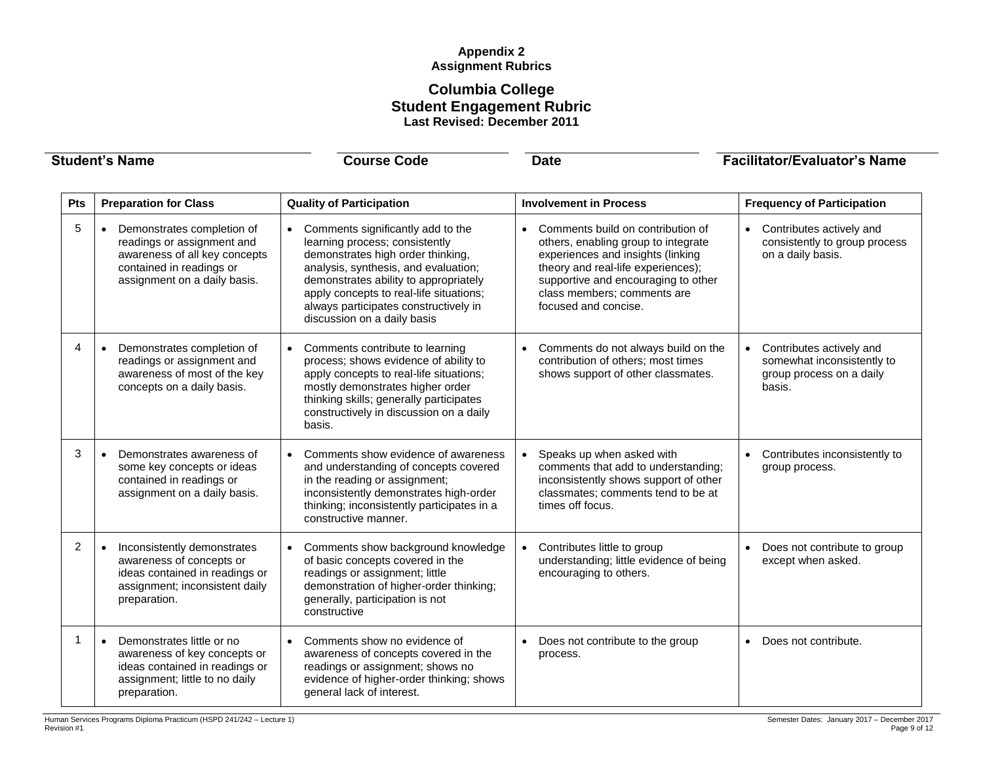### **Appendix 2 Assignment Rubrics**

### **Columbia College Student Engagement Rubric Last Revised: December 2011**

| <b>Student's Name</b> |                                                                                                                                                                    | <b>Course Code</b>                                                                                                                                                                                                                                                                                           | <b>Date</b>                                                                                                                                                                                                                                                    | <b>Facilitator/Evaluator's Name</b>                                                          |  |
|-----------------------|--------------------------------------------------------------------------------------------------------------------------------------------------------------------|--------------------------------------------------------------------------------------------------------------------------------------------------------------------------------------------------------------------------------------------------------------------------------------------------------------|----------------------------------------------------------------------------------------------------------------------------------------------------------------------------------------------------------------------------------------------------------------|----------------------------------------------------------------------------------------------|--|
| Pts                   | <b>Preparation for Class</b>                                                                                                                                       | <b>Quality of Participation</b>                                                                                                                                                                                                                                                                              | <b>Involvement in Process</b>                                                                                                                                                                                                                                  | <b>Frequency of Participation</b>                                                            |  |
| 5                     | Demonstrates completion of<br>$\bullet$<br>readings or assignment and<br>awareness of all key concepts<br>contained in readings or<br>assignment on a daily basis. | Comments significantly add to the<br>learning process; consistently<br>demonstrates high order thinking,<br>analysis, synthesis, and evaluation;<br>demonstrates ability to appropriately<br>apply concepts to real-life situations;<br>always participates constructively in<br>discussion on a daily basis | Comments build on contribution of<br>$\bullet$<br>others, enabling group to integrate<br>experiences and insights (linking<br>theory and real-life experiences);<br>supportive and encouraging to other<br>class members; comments are<br>focused and concise. | Contributes actively and<br>consistently to group process<br>on a daily basis.               |  |
| 4                     | Demonstrates completion of<br>$\bullet$<br>readings or assignment and<br>awareness of most of the key<br>concepts on a daily basis.                                | Comments contribute to learning<br>process; shows evidence of ability to<br>apply concepts to real-life situations;<br>mostly demonstrates higher order<br>thinking skills; generally participates<br>constructively in discussion on a daily<br>basis.                                                      | Comments do not always build on the<br>contribution of others; most times<br>shows support of other classmates.                                                                                                                                                | Contributes actively and<br>somewhat inconsistently to<br>group process on a daily<br>basis. |  |
| 3                     | Demonstrates awareness of<br>$\bullet$<br>some key concepts or ideas<br>contained in readings or<br>assignment on a daily basis.                                   | Comments show evidence of awareness<br>and understanding of concepts covered<br>in the reading or assignment;<br>inconsistently demonstrates high-order<br>thinking; inconsistently participates in a<br>constructive manner.                                                                                | Speaks up when asked with<br>$\bullet$<br>comments that add to understanding;<br>inconsistently shows support of other<br>classmates; comments tend to be at<br>times off focus.                                                                               | Contributes inconsistently to<br>group process.                                              |  |
| 2                     | Inconsistently demonstrates<br>$\bullet$<br>awareness of concepts or<br>ideas contained in readings or<br>assignment; inconsistent daily<br>preparation.           | Comments show background knowledge<br>of basic concepts covered in the<br>readings or assignment; little<br>demonstration of higher-order thinking;<br>generally, participation is not<br>constructive                                                                                                       | Contributes little to group<br>$\bullet$<br>understanding; little evidence of being<br>encouraging to others.                                                                                                                                                  | Does not contribute to group<br>$\bullet$<br>except when asked.                              |  |
| $\mathbf{1}$          | Demonstrates little or no<br>$\bullet$<br>awareness of key concepts or<br>ideas contained in readings or<br>assignment; little to no daily<br>preparation.         | Comments show no evidence of<br>awareness of concepts covered in the<br>readings or assignment; shows no<br>evidence of higher-order thinking; shows<br>general lack of interest.                                                                                                                            | Does not contribute to the group<br>process.                                                                                                                                                                                                                   | Does not contribute.<br>$\bullet$                                                            |  |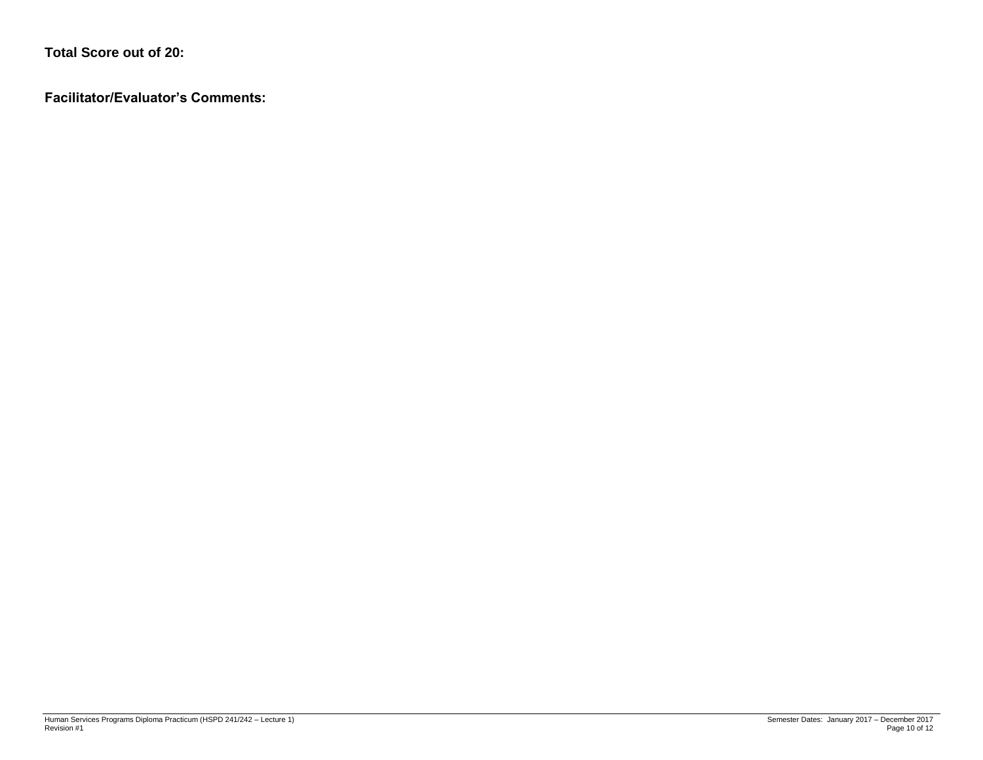**Total Score out of 20:**

**Facilitator/Evaluator's Comments:**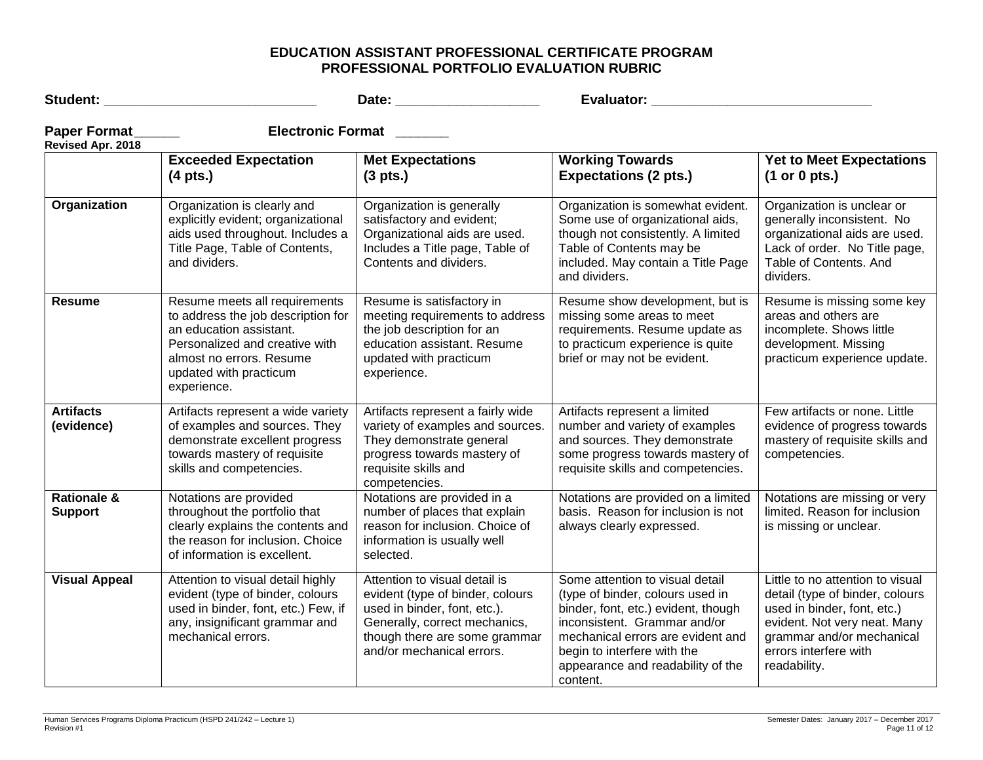## **EDUCATION ASSISTANT PROFESSIONAL CERTIFICATE PROGRAM PROFESSIONAL PORTFOLIO EVALUATION RUBRIC**

| Student: ______________________          |                                                                                                                                                                                                       |                                                                                                                                                                                                  |                                                                                                                                                                                                                                                                 |                                                                                                                                                                                                          |
|------------------------------------------|-------------------------------------------------------------------------------------------------------------------------------------------------------------------------------------------------------|--------------------------------------------------------------------------------------------------------------------------------------------------------------------------------------------------|-----------------------------------------------------------------------------------------------------------------------------------------------------------------------------------------------------------------------------------------------------------------|----------------------------------------------------------------------------------------------------------------------------------------------------------------------------------------------------------|
| Paper Format_<br>Revised Apr. 2018       | <b>Electronic Format</b>                                                                                                                                                                              |                                                                                                                                                                                                  |                                                                                                                                                                                                                                                                 |                                                                                                                                                                                                          |
|                                          | <b>Exceeded Expectation</b><br>$(4$ pts.)                                                                                                                                                             | <b>Met Expectations</b><br>$(3 \text{ pts.})$                                                                                                                                                    | <b>Working Towards</b><br><b>Expectations (2 pts.)</b>                                                                                                                                                                                                          | <b>Yet to Meet Expectations</b><br>(1 or 0 pts.)                                                                                                                                                         |
| Organization                             | Organization is clearly and<br>explicitly evident; organizational<br>aids used throughout. Includes a<br>Title Page, Table of Contents,<br>and dividers.                                              | Organization is generally<br>satisfactory and evident;<br>Organizational aids are used.<br>Includes a Title page, Table of<br>Contents and dividers.                                             | Organization is somewhat evident.<br>Some use of organizational aids,<br>though not consistently. A limited<br>Table of Contents may be<br>included. May contain a Title Page<br>and dividers.                                                                  | Organization is unclear or<br>generally inconsistent. No<br>organizational aids are used.<br>Lack of order. No Title page,<br>Table of Contents. And<br>dividers.                                        |
| <b>Resume</b>                            | Resume meets all requirements<br>to address the job description for<br>an education assistant.<br>Personalized and creative with<br>almost no errors. Resume<br>updated with practicum<br>experience. | Resume is satisfactory in<br>meeting requirements to address<br>the job description for an<br>education assistant. Resume<br>updated with practicum<br>experience.                               | Resume show development, but is<br>missing some areas to meet<br>requirements. Resume update as<br>to practicum experience is quite<br>brief or may not be evident.                                                                                             | Resume is missing some key<br>areas and others are<br>incomplete. Shows little<br>development. Missing<br>practicum experience update.                                                                   |
| <b>Artifacts</b><br>(evidence)           | Artifacts represent a wide variety<br>of examples and sources. They<br>demonstrate excellent progress<br>towards mastery of requisite<br>skills and competencies.                                     | Artifacts represent a fairly wide<br>variety of examples and sources.<br>They demonstrate general<br>progress towards mastery of<br>requisite skills and<br>competencies.                        | Artifacts represent a limited<br>number and variety of examples<br>and sources. They demonstrate<br>some progress towards mastery of<br>requisite skills and competencies.                                                                                      | Few artifacts or none. Little<br>evidence of progress towards<br>mastery of requisite skills and<br>competencies.                                                                                        |
| <b>Rationale &amp;</b><br><b>Support</b> | Notations are provided<br>throughout the portfolio that<br>clearly explains the contents and<br>the reason for inclusion. Choice<br>of information is excellent.                                      | Notations are provided in a<br>number of places that explain<br>reason for inclusion. Choice of<br>information is usually well<br>selected.                                                      | Notations are provided on a limited<br>basis. Reason for inclusion is not<br>always clearly expressed.                                                                                                                                                          | Notations are missing or very<br>limited. Reason for inclusion<br>is missing or unclear.                                                                                                                 |
| <b>Visual Appeal</b>                     | Attention to visual detail highly<br>evident (type of binder, colours<br>used in binder, font, etc.) Few, if<br>any, insignificant grammar and<br>mechanical errors.                                  | Attention to visual detail is<br>evident (type of binder, colours<br>used in binder, font, etc.).<br>Generally, correct mechanics,<br>though there are some grammar<br>and/or mechanical errors. | Some attention to visual detail<br>(type of binder, colours used in<br>binder, font, etc.) evident, though<br>inconsistent. Grammar and/or<br>mechanical errors are evident and<br>begin to interfere with the<br>appearance and readability of the<br>content. | Little to no attention to visual<br>detail (type of binder, colours<br>used in binder, font, etc.)<br>evident. Not very neat. Many<br>grammar and/or mechanical<br>errors interfere with<br>readability. |